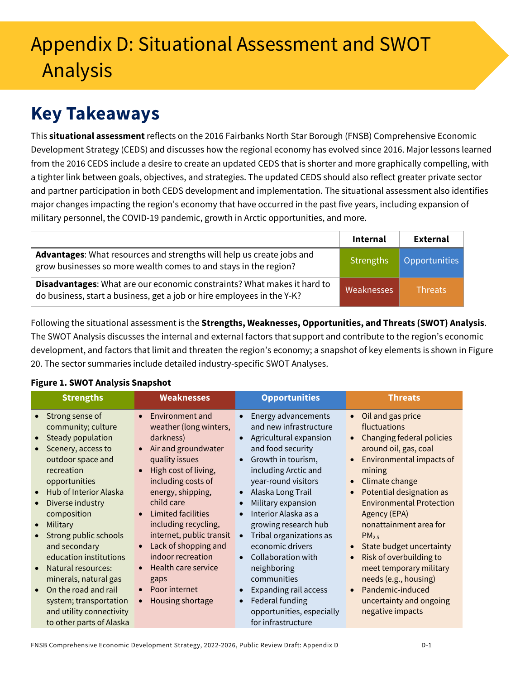# Appendix D: Situational Assessment and SWOT Analysis

# **Key Takeaways**

This **situational assessment** reflects on the 2016 Fairbanks North Star Borough (FNSB) Comprehensive Economic Development Strategy (CEDS) and discusses how the regional economy has evolved since 2016. Major lessons learned from the 2016 CEDS include a desire to create an updated CEDS that is shorter and more graphically compelling, with a tighter link between goals, objectives, and strategies. The updated CEDS should also reflect greater private sector and partner participation in both CEDS development and implementation. The situational assessment also identifies major changes impacting the region's economy that have occurred in the past five years, including expansion of military personnel, the COVID-19 pandemic, growth in Arctic opportunities, and more.

|                                                                                                                                                   | <b>Internal</b>   | External       |
|---------------------------------------------------------------------------------------------------------------------------------------------------|-------------------|----------------|
| Advantages: What resources and strengths will help us create jobs and<br>grow businesses so more wealth comes to and stays in the region?         | <b>Strengths</b>  | Opportunities  |
| Disadvantages: What are our economic constraints? What makes it hard to<br>do business, start a business, get a job or hire employees in the Y-K? | <b>Weaknesses</b> | <b>Threats</b> |

Following the situational assessment is the **Strengths, Weaknesses, Opportunities, and Threats (SWOT) Analysis**. The SWOT Analysis discusses the internal and external factors that support and contribute to the region's economic development, and factors that limit and threaten the region's economy; a snapshot of key elements is shown i[n Figure](#page-0-0)  [20.](#page-0-0) The sector summaries include detailed industry-specific SWOT Analyses.

## <span id="page-0-0"></span>**Figure 1. SWOT Analysis Snapshot**

| <b>Strengths</b>                                                                                                                                                                                                                                                                                                                                                                                                                                                 | <b>Weaknesses</b>                                                                                                                                                                                                                                                                                                                                                                                                                                                | <b>Opportunities</b>                                                                                                                                                                                                                                                                                                                                                                                                                                                                                                                    | <b>Threats</b>                                                                                                                                                                                                                                                                                                                                                                                                                                                                                                                                        |
|------------------------------------------------------------------------------------------------------------------------------------------------------------------------------------------------------------------------------------------------------------------------------------------------------------------------------------------------------------------------------------------------------------------------------------------------------------------|------------------------------------------------------------------------------------------------------------------------------------------------------------------------------------------------------------------------------------------------------------------------------------------------------------------------------------------------------------------------------------------------------------------------------------------------------------------|-----------------------------------------------------------------------------------------------------------------------------------------------------------------------------------------------------------------------------------------------------------------------------------------------------------------------------------------------------------------------------------------------------------------------------------------------------------------------------------------------------------------------------------------|-------------------------------------------------------------------------------------------------------------------------------------------------------------------------------------------------------------------------------------------------------------------------------------------------------------------------------------------------------------------------------------------------------------------------------------------------------------------------------------------------------------------------------------------------------|
| Strong sense of<br>$\bullet$<br>community; culture<br>Steady population<br>$\bullet$<br>Scenery, access to<br>outdoor space and<br>recreation<br>opportunities<br>Hub of Interior Alaska<br>$\bullet$<br>Diverse industry<br>composition<br>Military<br>$\bullet$<br>Strong public schools<br>and secondary<br>education institutions<br>Natural resources:<br>$\bullet$<br>minerals, natural gas<br>On the road and rail<br>$\bullet$<br>system; transportation | Environment and<br>$\bullet$<br>weather (long winters,<br>darkness)<br>Air and groundwater<br>quality issues<br>High cost of living,<br>$\bullet$<br>including costs of<br>energy, shipping,<br>child care<br><b>Limited facilities</b><br>$\bullet$<br>including recycling,<br>internet, public transit<br>Lack of shopping and<br>$\bullet$<br>indoor recreation<br>Health care service<br>$\bullet$<br>gaps<br>Poor internet<br>$\bullet$<br>Housing shortage | Energy advancements<br>$\bullet$<br>and new infrastructure<br>Agricultural expansion<br>$\bullet$<br>and food security<br>Growth in tourism,<br>$\bullet$<br>including Arctic and<br>year-round visitors<br>Alaska Long Trail<br>$\bullet$<br>Military expansion<br>$\bullet$<br>Interior Alaska as a<br>$\bullet$<br>growing research hub<br>Tribal organizations as<br>$\bullet$<br>economic drivers<br>Collaboration with<br>$\bullet$<br>neighboring<br>communities<br><b>Expanding rail access</b><br>Federal funding<br>$\bullet$ | Oil and gas price<br>$\bullet$<br>fluctuations<br>Changing federal policies<br>$\bullet$<br>around oil, gas, coal<br><b>Environmental impacts of</b><br>$\bullet$<br>mining<br>Climate change<br>$\bullet$<br>Potential designation as<br>$\bullet$<br><b>Environmental Protection</b><br>Agency (EPA)<br>nonattainment area for<br>PM <sub>25</sub><br>State budget uncertainty<br>$\bullet$<br>Risk of overbuilding to<br>$\bullet$<br>meet temporary military<br>needs (e.g., housing)<br>Pandemic-induced<br>$\bullet$<br>uncertainty and ongoing |
| and utility connectivity<br>to other parts of Alaska                                                                                                                                                                                                                                                                                                                                                                                                             |                                                                                                                                                                                                                                                                                                                                                                                                                                                                  | opportunities, especially<br>for infrastructure                                                                                                                                                                                                                                                                                                                                                                                                                                                                                         | negative impacts                                                                                                                                                                                                                                                                                                                                                                                                                                                                                                                                      |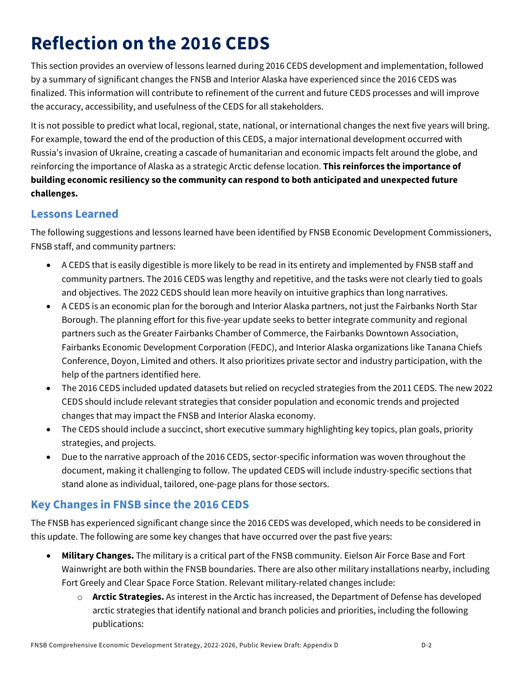# **Reflection on the 2016 CEDS**

This section provides an overview of lessons learned during 2016 CEDS development and implementation, followed by a summary of significant changes the FNSB and Interior Alaska have experienced since the 2016 CEDS was finalized. This information will contribute to refinement of the current and future CEDS processes and will improve the accuracy, accessibility, and usefulness of the CEDS for all stakeholders.

It is not possible to predict what local, regional, state, national, or international changes the next five years will bring. For example, toward the end of the production of this CEDS, a major international development occurred with Russia's invasion of Ukraine, creating a cascade of humanitarian and economic impacts felt around the globe, and reinforcing the importance of Alaska as a strategic Arctic defense location. **This reinforces the importance of building economic resiliency so the community can respond to both anticipated and unexpected future challenges.** 

## **Lessons Learned**

The following suggestions and lessons learned have been identified by FNSB Economic Development Commissioners, FNSB staff, and community partners:

- A CEDS that is easily digestible is more likely to be read in its entirety and implemented by FNSB staff and community partners. The 2016 CEDS was lengthy and repetitive, and the tasks were not clearly tied to goals and objectives. The 2022 CEDS should lean more heavily on intuitive graphics than long narratives.
- A CEDS is an economic plan for the borough and Interior Alaska partners, not just the Fairbanks North Star Borough. The planning effort for this five-year update seeks to better integrate community and regional partners such as the Greater Fairbanks Chamber of Commerce, the Fairbanks Downtown Association, Fairbanks Economic Development Corporation (FEDC), and Interior Alaska organizations like Tanana Chiefs Conference, Doyon, Limited and others. It also prioritizes private sector and industry participation, with the help of the partners identified here.
- The 2016 CEDS included updated datasets but relied on recycled strategies from the 2011 CEDS. The new 2022 CEDS should include relevant strategies that consider population and economic trends and projected changes that may impact the FNSB and Interior Alaska economy.
- The CEDS should include a succinct, short executive summary highlighting key topics, plan goals, priority strategies, and projects.
- Due to the narrative approach of the 2016 CEDS, sector-specific information was woven throughout the document, making it challenging to follow. The updated CEDS will include industry-specific sections that stand alone as individual, tailored, one-page plans for those sectors.

# **Key Changes in FNSB since the 2016 CEDS**

The FNSB has experienced significant change since the 2016 CEDS was developed, which needs to be considered in this update. The following are some key changes that have occurred over the past five years:

- **Military Changes.** The military is a critical part of the FNSB community. Eielson Air Force Base and Fort Wainwright are both within the FNSB boundaries. There are also other military installations nearby, including Fort Greely and Clear Space Force Station. Relevant military-related changes include:
	- o **Arctic Strategies.** As interest in the Arctic has increased, the Department of Defense has developed arctic strategies that identify national and branch policies and priorities, including the following publications: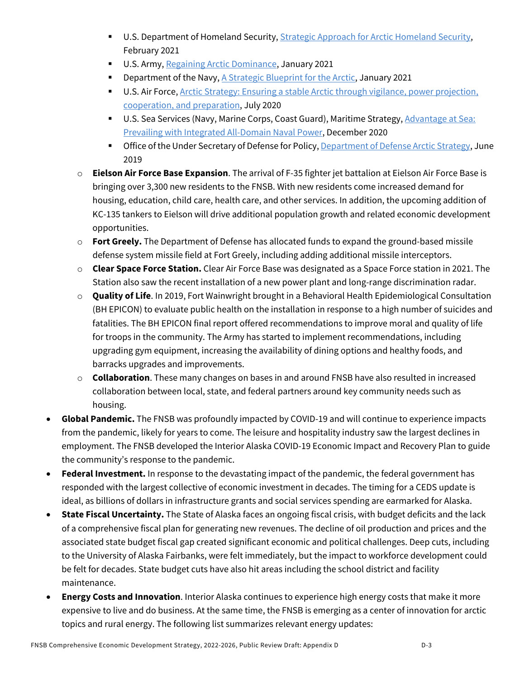- **U.S. Department of Homeland Security, [Strategic Approach for Arctic Homeland Security,](https://www.dhs.gov/publication/strategic-approach-arctic-homeland-security)** February 2021
- U.S. Army, [Regaining Arctic Dominance,](https://api.army.mil/e2/c/downloads/2021/03/15/9944046e/regaining-arctic-dominance-us-army-in-the-arctic-19-january-2021-unclassified.pdf) January 2021
- **Department of the Navy[, A Strategic Blueprint for the Arctic,](https://media.defense.gov/2021/Jan/05/2002560338/-1/-1/0/ARCTIC%20BLUEPRINT%202021%20FINAL.PDF/ARCTIC%20BLUEPRINT%202021%20FINAL.PDF) January 2021**
- **U.S. Air Force, Anctic Strategy: Ensuring a stable Arctic through vigilance, power projection,** [cooperation, and preparation,](https://www.af.mil/Portals/1/documents/2020SAF/July/ArcticStrategy.pdf) July 2020
- **U.S. Sea Services (Navy, Marine Corps, Coast Guard), Maritime Strategy, Advantage at Sea:** [Prevailing with Integrated All-Domain Naval Power,](https://media.defense.gov/2020/Dec/16/2002553074/-1/-1/0/TRISERVICESTRATEGY.PDF) December 2020
- **The Office of the Under Secretary of Defense for Policy[, Department of Defense Arctic](https://media.defense.gov/2019/Jun/06/2002141657/-1/-1/1/2019-DOD-ARCTIC-STRATEGY.PDF) Strategy, June** 2019
- o **Eielson Air Force Base Expansion**. The arrival of F-35 fighter jet battalion at Eielson Air Force Base is bringing over 3,300 new residents to the FNSB. With new residents come increased demand for housing, education, child care, health care, and other services. In addition, the upcoming addition of KC-135 tankers to Eielson will drive additional population growth and related economic development opportunities.
- o **Fort Greely.** The Department of Defense has allocated funds to expand the ground-based missile defense system missile field at Fort Greely, including adding additional missile interceptors.
- o **Clear Space Force Station.** Clear Air Force Base was designated as a Space Force station in 2021. The Station also saw the recent installation of a new power plant and long-range discrimination radar.
- o **Quality of Life**. In 2019, Fort Wainwright brought in a Behavioral Health Epidemiological Consultation (BH EPICON) to evaluate public health on the installation in response to a high number of suicides and fatalities. The BH EPICON final report offered recommendations to improve moral and quality of life for troops in the community. The Army has started to implement recommendations, including upgrading gym equipment, increasing the availability of dining options and healthy foods, and barracks upgrades and improvements.
- o **Collaboration**. These many changes on bases in and around FNSB have also resulted in increased collaboration between local, state, and federal partners around key community needs such as housing.
- **Global Pandemic.** The FNSB was profoundly impacted by COVID-19 and will continue to experience impacts from the pandemic, likely for years to come. The leisure and hospitality industry saw the largest declines in employment. The FNSB developed the Interior Alaska COVID-19 Economic Impact and Recovery Plan to guide the community's response to the pandemic.
- **Federal Investment.** In response to the devastating impact of the pandemic, the federal government has responded with the largest collective of economic investment in decades. The timing for a CEDS update is ideal, as billions of dollars in infrastructure grants and social services spending are earmarked for Alaska.
- **State Fiscal Uncertainty.** The State of Alaska faces an ongoing fiscal crisis, with budget deficits and the lack of a comprehensive fiscal plan for generating new revenues. The decline of oil production and prices and the associated state budget fiscal gap created significant economic and political challenges. Deep cuts, including to the University of Alaska Fairbanks, were felt immediately, but the impact to workforce development could be felt for decades. State budget cuts have also hit areas including the school district and facility maintenance.
- **Energy Costs and Innovation**. Interior Alaska continues to experience high energy costs that make it more expensive to live and do business. At the same time, the FNSB is emerging as a center of innovation for arctic topics and rural energy. The following list summarizes relevant energy updates: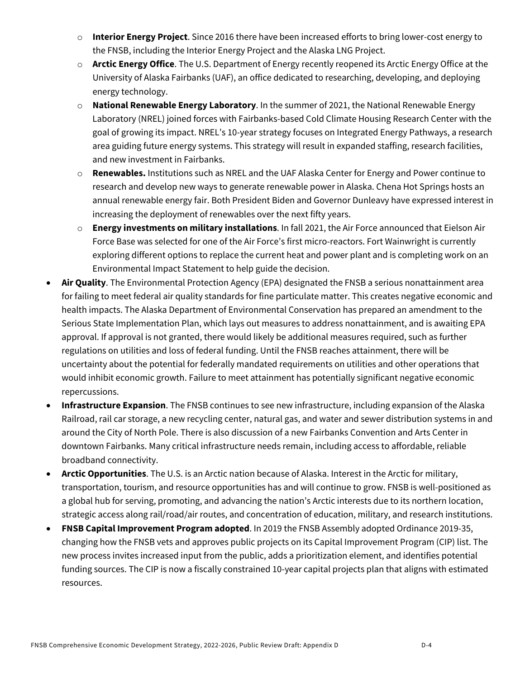- o **Interior Energy Project**. Since 2016 there have been increased efforts to bring lower-cost energy to the FNSB, including the Interior Energy Project and the Alaska LNG Project.
- o **Arctic Energy Office**. The U.S. Department of Energy recently reopened its Arctic Energy Office at the University of Alaska Fairbanks (UAF), an office dedicated to researching, developing, and deploying energy technology.
- o **National Renewable Energy Laboratory**. In the summer of 2021, the National Renewable Energy Laboratory (NREL) joined forces with Fairbanks-based Cold Climate Housing Research Center with the goal of growing its impact. NREL's 10-year strategy focuses on Integrated Energy Pathways, a research area guiding future energy systems. This strategy will result in expanded staffing, research facilities, and new investment in Fairbanks.
- o **Renewables.** Institutions such as NREL and the UAF Alaska Center for Energy and Power continue to research and develop new ways to generate renewable power in Alaska. Chena Hot Springs hosts an annual renewable energy fair. Both President Biden and Governor Dunleavy have expressed interest in increasing the deployment of renewables over the next fifty years.
- o **Energy investments on military installations**. In fall 2021, the Air Force announced that Eielson Air Force Base was selected for one of the Air Force's first micro-reactors. Fort Wainwright is currently exploring different options to replace the current heat and power plant and is completing work on an Environmental Impact Statement to help guide the decision.
- **Air Quality**. The Environmental Protection Agency (EPA) designated the FNSB a serious nonattainment area for failing to meet federal air quality standards for fine particulate matter. This creates negative economic and health impacts. The Alaska Department of Environmental Conservation has prepared an amendment to the Serious State Implementation Plan, which lays out measures to address nonattainment, and is awaiting EPA approval. If approval is not granted, there would likely be additional measures required, such as further regulations on utilities and loss of federal funding. Until the FNSB reaches attainment, there will be uncertainty about the potential for federally mandated requirements on utilities and other operations that would inhibit economic growth. Failure to meet attainment has potentially significant negative economic repercussions.
- **Infrastructure Expansion**. The FNSB continues to see new infrastructure, including expansion of the Alaska Railroad, rail car storage, a new recycling center, natural gas, and water and sewer distribution systems in and around the City of North Pole. There is also discussion of a new Fairbanks Convention and Arts Center in downtown Fairbanks. Many critical infrastructure needs remain, including access to affordable, reliable broadband connectivity.
- **Arctic Opportunities**. The U.S. is an Arctic nation because of Alaska. Interest in the Arctic for military, transportation, tourism, and resource opportunities has and will continue to grow. FNSB is well-positioned as a global hub for serving, promoting, and advancing the nation's Arctic interests due to its northern location, strategic access along rail/road/air routes, and concentration of education, military, and research institutions.
- **FNSB Capital Improvement Program adopted**. In 2019 the FNSB Assembly adopted Ordinance 2019-35, changing how the FNSB vets and approves public projects on its Capital Improvement Program (CIP) list. The new process invites increased input from the public, adds a prioritization element, and identifies potential funding sources. The CIP is now a fiscally constrained 10-year capital projects plan that aligns with estimated resources.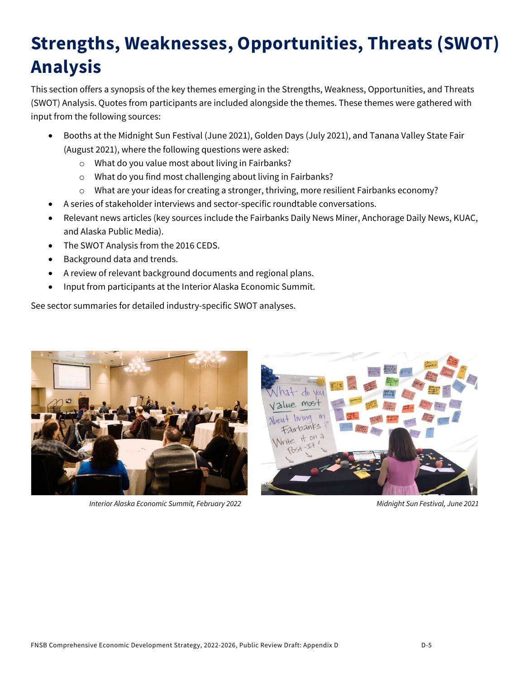# **Strengths, Weaknesses, Opportunities, Threats (SWOT) Analysis**

This section offers a synopsis of the key themes emerging in the Strengths, Weakness, Opportunities, and Threats (SWOT) Analysis. Quotes from participants are included alongside the themes. These themes were gathered with input from the following sources:

- Booths at the Midnight Sun Festival (June 2021), Golden Days (July 2021), and Tanana Valley State Fair (August 2021), where the following questions were asked:
	- o What do you value most about living in Fairbanks?
	- o What do you find most challenging about living in Fairbanks?
	- $\circ$  What are your ideas for creating a stronger, thriving, more resilient Fairbanks economy?
- A series of stakeholder interviews and sector-specific roundtable conversations.
- Relevant news articles (key sources include the Fairbanks Daily News Miner, Anchorage Daily News, KUAC, and Alaska Public Media).
- The SWOT Analysis from the 2016 CEDS.
- Background data and trends.
- A review of relevant background documents and regional plans.
- Input from participants at the Interior Alaska Economic Summit.

See sector summaries for detailed industry-specific SWOT analyses.



*Interior Alaska Economic Summit, February 2022 Midnight Sun Festival, June 2021*

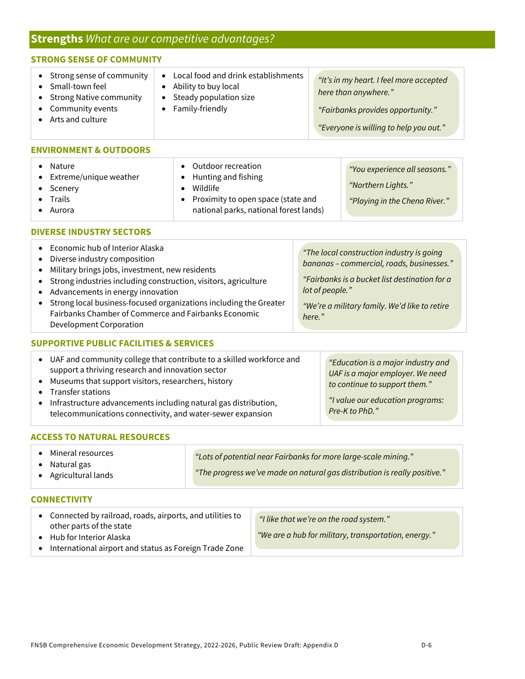## **Strengths** *What are our competitive advantages?*

| <b>STRONG SENSE OF COMMUNITY</b>                                                                                                                                                                                                                                                                                                                                                                                                                 |                                                                                                                                                                                                      |                                                                                                                                                |                                                                                                                                                                                                                       |  |
|--------------------------------------------------------------------------------------------------------------------------------------------------------------------------------------------------------------------------------------------------------------------------------------------------------------------------------------------------------------------------------------------------------------------------------------------------|------------------------------------------------------------------------------------------------------------------------------------------------------------------------------------------------------|------------------------------------------------------------------------------------------------------------------------------------------------|-----------------------------------------------------------------------------------------------------------------------------------------------------------------------------------------------------------------------|--|
| Strong sense of community<br>$\bullet$<br>Small-town feel<br>$\bullet$<br><b>Strong Native community</b><br>Community events<br>Arts and culture<br>$\bullet$                                                                                                                                                                                                                                                                                    | Local food and drink establishments<br>$\bullet$<br>Ability to buy local<br>Steady population size<br>Family-friendly<br>$\bullet$                                                                   | "It's in my heart. I feel more accepted<br>here than anywhere."<br>"Fairbanks provides opportunity."<br>"Everyone is willing to help you out." |                                                                                                                                                                                                                       |  |
| <b>ENVIRONMENT &amp; OUTDOORS</b>                                                                                                                                                                                                                                                                                                                                                                                                                |                                                                                                                                                                                                      |                                                                                                                                                |                                                                                                                                                                                                                       |  |
| Nature<br>$\bullet$<br>Extreme/unique weather<br>Scenery<br>Trails<br>Aurora                                                                                                                                                                                                                                                                                                                                                                     | Outdoor recreation<br>$\bullet$<br>Hunting and fishing<br>$\bullet$<br>Wildlife<br>$\bullet$<br>Proximity to open space (state and<br>$\bullet$<br>national parks, national forest lands)            |                                                                                                                                                | "You experience all seasons."<br>"Northern Lights."<br>"Playing in the Chena River."                                                                                                                                  |  |
| <b>DIVERSE INDUSTRY SECTORS</b>                                                                                                                                                                                                                                                                                                                                                                                                                  |                                                                                                                                                                                                      |                                                                                                                                                |                                                                                                                                                                                                                       |  |
| Economic hub of Interior Alaska<br>$\bullet$<br>Diverse industry composition<br>$\bullet$<br>Military brings jobs, investment, new residents<br>$\bullet$<br>Strong industries including construction, visitors, agriculture<br>٠<br>Advancements in energy innovation<br>$\bullet$<br>Strong local business-focused organizations including the Greater<br>٠<br>Fairbanks Chamber of Commerce and Fairbanks Economic<br>Development Corporation |                                                                                                                                                                                                      |                                                                                                                                                | "The local construction industry is going<br>bananas - commercial, roads, businesses."<br>"Fairbanks is a bucket list destination for a<br>lot of people."<br>"We're a military family. We'd like to retire<br>here." |  |
| <b>SUPPORTIVE PUBLIC FACILITIES &amp; SERVICES</b>                                                                                                                                                                                                                                                                                                                                                                                               |                                                                                                                                                                                                      |                                                                                                                                                |                                                                                                                                                                                                                       |  |
| $\bullet$<br>support a thriving research and innovation sector<br>Museums that support visitors, researchers, history<br>$\bullet$<br><b>Transfer stations</b><br>$\bullet$<br>$\bullet$                                                                                                                                                                                                                                                         | UAF and community college that contribute to a skilled workforce and<br>Infrastructure advancements including natural gas distribution,<br>telecommunications connectivity and water-sewer expansion |                                                                                                                                                | "Education is a major industry and<br>UAF is a major employer. We need<br>to continue to support them."<br>"I value our education programs:<br>Pre-K to PhD."                                                         |  |

## **ACCESS TO NATURAL RESOURCES**

telecommunications connectivity, and water-sewer expansion

• Mineral resources

• Natural gas

• Agricultural lands

 $\iota$ *"Lots of potential near Fairbanks for more large-scale mining."*

*"The progress we've made on natural gas distribution is really positive."*

#### **CONNECTIVITY**

| • Connected by railroad, roads, airports, and utilities to<br>other parts of the state | "I like that we're on the road system."              |
|----------------------------------------------------------------------------------------|------------------------------------------------------|
| Hub for Interior Alaska                                                                | "We are a hub for military, transportation, energy." |
| International airport and status as Foreign Trade Zone                                 |                                                      |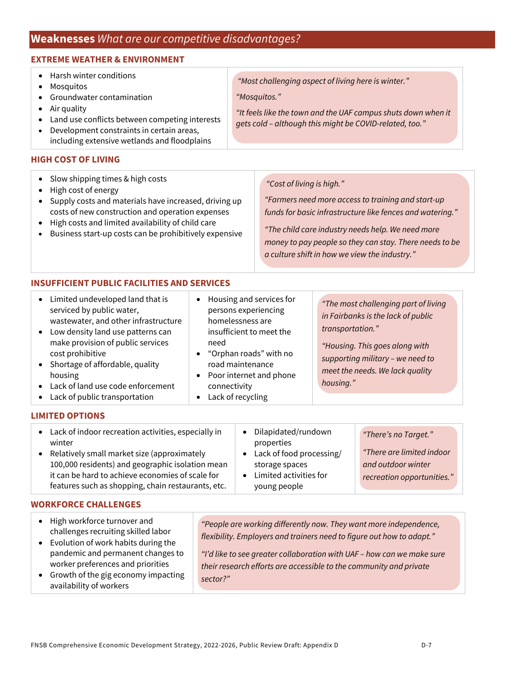# **Weaknesses** *What are our competitive disadvantages?*

### **EXTREME WEATHER & ENVIRONMENT**

- Harsh winter conditions
- Mosquitos
- Groundwater contamination
- Air quality
- Land use conflicts between competing interests
- Development constraints in certain areas, including extensive wetlands and floodplains

#### **HIGH COST OF LIVING**

- Slow shipping times & high costs
- High cost of energy
- Supply costs and materials have increased, driving up costs of new construction and operation expenses
- High costs and limited availability of child care
- Business start-up costs can be prohibitively expensive

### *"Most challenging aspect of living here is winter."*

*"Mosquitos."*

*"It feels like the town and the UAF campus shuts down when it gets cold – although this might be COVID-related, too."*

#### *"Cost of living is high."*

*"Farmers need more access to training and start-up funds for basic infrastructure like fences and watering."*

*"The child care industry needs help. We need more money to pay people so they can stay. There needs to be a culture shift in how we view the industry."*

### **INSUFFICIENT PUBLIC FACILITIES AND SERVICES**

| Limited undeveloped land that is<br>$\bullet$<br>serviced by public water,<br>wastewater, and other infrastructure<br>• Low density land use patterns can<br>make provision of public services<br>cost prohibitive<br>• Shortage of affordable, quality<br>housing<br>• Lack of land use code enforcement | Housing and services for<br>persons experiencing<br>homelessness are<br>insufficient to meet the<br>need<br>• "Orphan roads" with no<br>road maintenance<br>Poor internet and phone<br>connectivity | "The most challenging part of living<br>in Fairbanks is the lack of public<br>transportation."<br>"Housing. This goes along with<br>supporting military - we need to<br>meet the needs. We lack quality<br>housing." |
|-----------------------------------------------------------------------------------------------------------------------------------------------------------------------------------------------------------------------------------------------------------------------------------------------------------|-----------------------------------------------------------------------------------------------------------------------------------------------------------------------------------------------------|----------------------------------------------------------------------------------------------------------------------------------------------------------------------------------------------------------------------|
| • Lack of public transportation                                                                                                                                                                                                                                                                           | Lack of recycling                                                                                                                                                                                   |                                                                                                                                                                                                                      |

• Lack of public transportation

### **LIMITED OPTIONS**

| • Lack of indoor recreation activities, especially in<br>winter<br>Relatively small market size (approximately<br>$\bullet$<br>100,000 residents) and geographic isolation mean<br>it can be hard to achieve economies of scale for<br>features such as shopping, chain restaurants, etc. | Dilapidated/rundown<br>properties<br>Lack of food processing/<br>storage spaces<br>Limited activities for<br>young people | "There's no Target."<br>"There are limited indoor<br>and outdoor winter<br>recreation opportunities." |
|-------------------------------------------------------------------------------------------------------------------------------------------------------------------------------------------------------------------------------------------------------------------------------------------|---------------------------------------------------------------------------------------------------------------------------|-------------------------------------------------------------------------------------------------------|
|                                                                                                                                                                                                                                                                                           |                                                                                                                           |                                                                                                       |

#### **WORKFORCE CHALLENGES**

| • High workforce turnover and<br>challenges recruiting skilled labor<br>• Evolution of work habits during the | "People are working differently now. They want more independence,<br>flexibility. Employers and trainers need to figure out how to adapt." |
|---------------------------------------------------------------------------------------------------------------|--------------------------------------------------------------------------------------------------------------------------------------------|
| pandemic and permanent changes to                                                                             | "I'd like to see greater collaboration with UAF - how can we make sure                                                                     |
| worker preferences and priorities                                                                             | their research efforts are accessible to the community and private                                                                         |
| • Growth of the gig economy impacting<br>availability of workers                                              | sector?"                                                                                                                                   |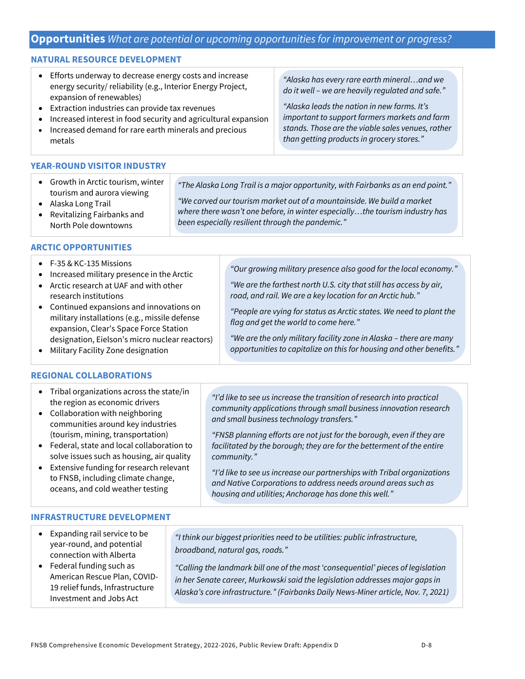## **Opportunities** *What are potential or upcoming opportunities for improvement or progress?*

#### **NATURAL RESOURCE DEVELOPMENT**

- Efforts underway to decrease energy costs and increase energy security/ reliability (e.g., Interior Energy Project, expansion of renewables)
- Extraction industries can provide tax revenues
- Increased interest in food security and agricultural expansion
- Increased demand for rare earth minerals and precious metals

#### **YEAR-ROUND VISITOR INDUSTRY**

• Growth in Arctic tourism, winter tourism and aurora viewing  *"The Alaska Long Trail is a major opportunity, with Fairbanks as an end point." "We carved our tourism market out of a mountainside. We build a market* 

*been especially resilient through the pandemic."*

- Alaska Long Trail
- Revitalizing Fairbanks and North Pole downtowns

#### **ARCTIC OPPORTUNITIES**

| $\bullet$ F-35 & KC-135 Missions<br>Increased military presence in the Arctic<br>• Arctic research at UAF and with other<br>research institutions | "Our growing military presence also good for the local economy."<br>"We are the farthest north U.S. city that still has access by air,<br>road, and rail. We are a key location for an Arctic hub." |
|---------------------------------------------------------------------------------------------------------------------------------------------------|-----------------------------------------------------------------------------------------------------------------------------------------------------------------------------------------------------|
| Continued expansions and innovations on<br>$\bullet$<br>military installations (e.g., missile defense<br>expansion, Clear's Space Force Station   | "People are vying for status as Arctic states. We need to plant the<br>flag and get the world to come here."                                                                                        |
| designation, Eielson's micro nuclear reactors)<br>Military Facility Zone designation                                                              | "We are the only military facility zone in Alaska - there are many<br>opportunities to capitalize on this for housing and other benefits."                                                          |

• Military Facility Zone designation

#### **REGIONAL COLLABORATIONS**

| • Tribal organizations across the state/in<br>the region as economic drivers<br>• Collaboration with neighboring<br>communities around key industries<br>(tourism, mining, transportation)<br>Federal, state and local collaboration to<br>$\bullet$<br>solve issues such as housing, air quality<br>Extensive funding for research relevant<br>$\bullet$ | "I'd like to see us increase the transition of research into practical<br>community applications through small business innovation research<br>and small business technology transfers."<br>"FNSB planning efforts are not just for the borough, even if they are<br>facilitated by the borough; they are for the betterment of the entire<br>community."<br>"I'd like to see us increase our partnerships with Tribal organizations |
|-----------------------------------------------------------------------------------------------------------------------------------------------------------------------------------------------------------------------------------------------------------------------------------------------------------------------------------------------------------|--------------------------------------------------------------------------------------------------------------------------------------------------------------------------------------------------------------------------------------------------------------------------------------------------------------------------------------------------------------------------------------------------------------------------------------|
| to FNSB, including climate change,                                                                                                                                                                                                                                                                                                                        | and Native Corporations to address needs around areas such as                                                                                                                                                                                                                                                                                                                                                                        |
| oceans, and cold weather testing                                                                                                                                                                                                                                                                                                                          | housing and utilities; Anchorage has done this well."                                                                                                                                                                                                                                                                                                                                                                                |

#### **INFRASTRUCTURE DEVELOPMENT**

- Expanding rail service to be year-round, and potential connection with Alberta
- Federal funding such as American Rescue Plan, COVID-19 relief funds, Infrastructure Investment and Jobs Act

 *"I think our biggest priorities need to be utilities: public infrastructure, broadband, natural gas, roads."*

 *"Calling the landmark bill one of the most 'consequential' pieces of legislation in her Senate career, Murkowski said the legislation addresses major gaps in Alaska's core infrastructure." (Fairbanks Daily News-Miner article, Nov. 7, 2021)*

*"Alaska has every rare earth mineral…and we do it well – we are heavily regulated and safe."*

*"Alaska leads the nation in new farms. It's important to support farmers markets and farm stands. Those are the viable sales venues, rather than getting products in grocery stores."*

*where there wasn't one before, in winter especially…the tourism industry has*